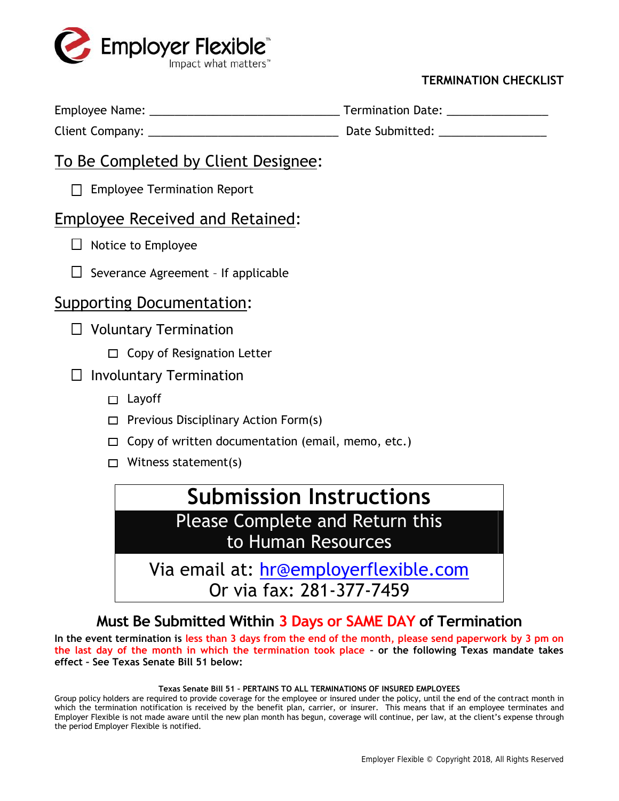

## **TERMINATION CHECKLIST**

| Employee Name: | <b>Termination Date:</b> |
|----------------|--------------------------|
|----------------|--------------------------|

Client Company: \_\_\_\_\_\_\_\_\_\_\_\_\_\_\_\_\_\_\_\_\_\_\_\_\_\_\_\_\_\_ Date Submitted: \_\_\_\_\_\_\_\_\_\_\_\_\_\_\_\_\_

# To Be Completed by Client Designee:

□ Employee Termination Report

# Employee Received and Retained:

- $\Box$  Notice to Employee
- $\Box$  Severance Agreement If applicable

# Supporting Documentation:

- $\Box$  Voluntary Termination
	- $\Box$  Copy of Resignation Letter

## $\Box$  Involuntary Termination

- $\square$  Layoff
- $\Box$  Previous Disciplinary Action Form(s)
- $\Box$  Copy of written documentation (email, memo, etc.)
- $\Box$  Witness statement(s)

# **Submission Instructions** Please Complete and Return this

to Human Resources

Via email at: hr@employerflexible.com Or via fax: 281-377-7459

**Must Be Submitted Within 3 Days or SAME DAY of Termination**

**In the event termination is less than 3 days from the end of the month, please send paperwork by 3 pm on the last day of the month in which the termination took place – or the following Texas mandate takes effect – See Texas Senate Bill 51 below:**

### **Texas Senate Bill 51 – PERTAINS TO ALL TERMINATIONS OF INSURED EMPLOYEES**

Group policy holders are required to provide coverage for the employee or insured under the policy, until the end of the contract month in which the termination notification is received by the benefit plan, carrier, or insurer. This means that if an employee terminates and Employer Flexible is not made aware until the new plan month has begun, coverage will continue, per law, at the client's expense through the period Employer Flexible is notified.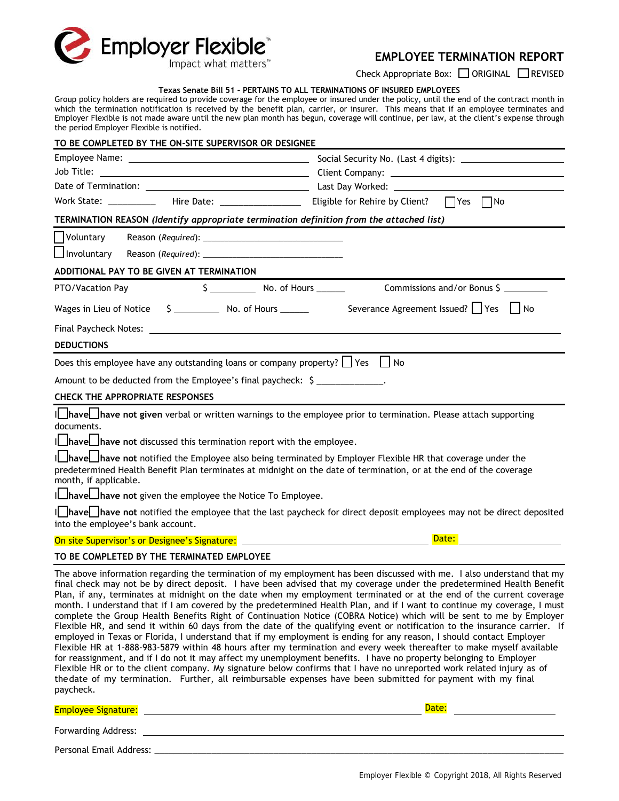

## **EMPLOYEE TERMINATION REPORT**

Check Appropriate Box: □ ORIGINAL □ REVISED

#### **Texas Senate Bill 51 – PERTAINS TO ALL TERMINATIONS OF INSURED EMPLOYEES**

Group policy holders are required to provide coverage for the employee or insured under the policy, until the end of the contract month in which the termination notification is received by the benefit plan, carrier, or insurer. This means that if an employee terminates and Employer Flexible is not made aware until the new plan month has begun, coverage will continue, per law, at the client's expense through the period Employer Flexible is notified.

| TO BE COMPLETED BY THE ON-SITE SUPERVISOR OR DESIGNEE                                                                                                                                                                                                                                                                                                                                                                                                                                                                                                                                                                                                           |                                                                                                                                                                                                                                                                                                                                                                                                                                                                                                                                                                                                                                                                                                                                                                                                                                                                                   |  |
|-----------------------------------------------------------------------------------------------------------------------------------------------------------------------------------------------------------------------------------------------------------------------------------------------------------------------------------------------------------------------------------------------------------------------------------------------------------------------------------------------------------------------------------------------------------------------------------------------------------------------------------------------------------------|-----------------------------------------------------------------------------------------------------------------------------------------------------------------------------------------------------------------------------------------------------------------------------------------------------------------------------------------------------------------------------------------------------------------------------------------------------------------------------------------------------------------------------------------------------------------------------------------------------------------------------------------------------------------------------------------------------------------------------------------------------------------------------------------------------------------------------------------------------------------------------------|--|
|                                                                                                                                                                                                                                                                                                                                                                                                                                                                                                                                                                                                                                                                 |                                                                                                                                                                                                                                                                                                                                                                                                                                                                                                                                                                                                                                                                                                                                                                                                                                                                                   |  |
|                                                                                                                                                                                                                                                                                                                                                                                                                                                                                                                                                                                                                                                                 |                                                                                                                                                                                                                                                                                                                                                                                                                                                                                                                                                                                                                                                                                                                                                                                                                                                                                   |  |
|                                                                                                                                                                                                                                                                                                                                                                                                                                                                                                                                                                                                                                                                 |                                                                                                                                                                                                                                                                                                                                                                                                                                                                                                                                                                                                                                                                                                                                                                                                                                                                                   |  |
|                                                                                                                                                                                                                                                                                                                                                                                                                                                                                                                                                                                                                                                                 |                                                                                                                                                                                                                                                                                                                                                                                                                                                                                                                                                                                                                                                                                                                                                                                                                                                                                   |  |
| TERMINATION REASON (Identify appropriate termination definition from the attached list)                                                                                                                                                                                                                                                                                                                                                                                                                                                                                                                                                                         |                                                                                                                                                                                                                                                                                                                                                                                                                                                                                                                                                                                                                                                                                                                                                                                                                                                                                   |  |
| Voluntary                                                                                                                                                                                                                                                                                                                                                                                                                                                                                                                                                                                                                                                       |                                                                                                                                                                                                                                                                                                                                                                                                                                                                                                                                                                                                                                                                                                                                                                                                                                                                                   |  |
| Involuntary                                                                                                                                                                                                                                                                                                                                                                                                                                                                                                                                                                                                                                                     |                                                                                                                                                                                                                                                                                                                                                                                                                                                                                                                                                                                                                                                                                                                                                                                                                                                                                   |  |
| ADDITIONAL PAY TO BE GIVEN AT TERMINATION                                                                                                                                                                                                                                                                                                                                                                                                                                                                                                                                                                                                                       |                                                                                                                                                                                                                                                                                                                                                                                                                                                                                                                                                                                                                                                                                                                                                                                                                                                                                   |  |
| PTO/Vacation Pay                                                                                                                                                                                                                                                                                                                                                                                                                                                                                                                                                                                                                                                |                                                                                                                                                                                                                                                                                                                                                                                                                                                                                                                                                                                                                                                                                                                                                                                                                                                                                   |  |
| Wages in Lieu of Notice $\begin{array}{cc} \text{S} & \text{No. of Hours} \end{array}$ Severance Agreement Issued? $\Box$ Yes $\Box$ No                                                                                                                                                                                                                                                                                                                                                                                                                                                                                                                         |                                                                                                                                                                                                                                                                                                                                                                                                                                                                                                                                                                                                                                                                                                                                                                                                                                                                                   |  |
|                                                                                                                                                                                                                                                                                                                                                                                                                                                                                                                                                                                                                                                                 |                                                                                                                                                                                                                                                                                                                                                                                                                                                                                                                                                                                                                                                                                                                                                                                                                                                                                   |  |
| <b>DEDUCTIONS</b>                                                                                                                                                                                                                                                                                                                                                                                                                                                                                                                                                                                                                                               |                                                                                                                                                                                                                                                                                                                                                                                                                                                                                                                                                                                                                                                                                                                                                                                                                                                                                   |  |
| Does this employee have any outstanding loans or company property? $\Box$ Yes $\Box$ No                                                                                                                                                                                                                                                                                                                                                                                                                                                                                                                                                                         |                                                                                                                                                                                                                                                                                                                                                                                                                                                                                                                                                                                                                                                                                                                                                                                                                                                                                   |  |
| Amount to be deducted from the Employee's final paycheck: \$                                                                                                                                                                                                                                                                                                                                                                                                                                                                                                                                                                                                    |                                                                                                                                                                                                                                                                                                                                                                                                                                                                                                                                                                                                                                                                                                                                                                                                                                                                                   |  |
| <b>CHECK THE APPROPRIATE RESPONSES</b>                                                                                                                                                                                                                                                                                                                                                                                                                                                                                                                                                                                                                          |                                                                                                                                                                                                                                                                                                                                                                                                                                                                                                                                                                                                                                                                                                                                                                                                                                                                                   |  |
| IL have have not given verbal or written warnings to the employee prior to termination. Please attach supporting<br>documents.<br>ILIhaveLIhave not discussed this termination report with the employee.<br>Inavel_have not notified the Employee also being terminated by Employer Flexible HR that coverage under the<br>predetermined Health Benefit Plan terminates at midnight on the date of termination, or at the end of the coverage<br>month, if applicable.<br>ILIhaveLIhave not given the employee the Notice To Employee.<br>into the employee's bank account.<br>On site Supervisor's or Designee's Signature: __________________________________ | Inavel_have not notified the employee that the last paycheck for direct deposit employees may not be direct deposited<br>Date:                                                                                                                                                                                                                                                                                                                                                                                                                                                                                                                                                                                                                                                                                                                                                    |  |
| TO BE COMPLETED BY THE TERMINATED EMPLOYEE                                                                                                                                                                                                                                                                                                                                                                                                                                                                                                                                                                                                                      |                                                                                                                                                                                                                                                                                                                                                                                                                                                                                                                                                                                                                                                                                                                                                                                                                                                                                   |  |
| employed in Texas or Florida, I understand that if my employment is ending for any reason, I should contact Employer<br>for reassignment, and if I do not it may affect my unemployment benefits. I have no property belonging to Employer<br>Flexible HR or to the client company. My signature below confirms that I have no unreported work related injury as of<br>the date of my termination. Further, all reimbursable expenses have been submitted for payment with my final<br>paycheck.                                                                                                                                                                | The above information regarding the termination of my employment has been discussed with me. I also understand that my<br>final check may not be by direct deposit. I have been advised that my coverage under the predetermined Health Benefit<br>Plan, if any, terminates at midnight on the date when my employment terminated or at the end of the current coverage<br>month. I understand that if I am covered by the predetermined Health Plan, and if I want to continue my coverage, I must<br>complete the Group Health Benefits Right of Continuation Notice (COBRA Notice) which will be sent to me by Employer<br>Flexible HR, and send it within 60 days from the date of the qualifying event or notification to the insurance carrier. If<br>Flexible HR at 1-888-983-5879 within 48 hours after my termination and every week thereafter to make myself available |  |
| <b>Employee Signature:</b>                                                                                                                                                                                                                                                                                                                                                                                                                                                                                                                                                                                                                                      | Date:                                                                                                                                                                                                                                                                                                                                                                                                                                                                                                                                                                                                                                                                                                                                                                                                                                                                             |  |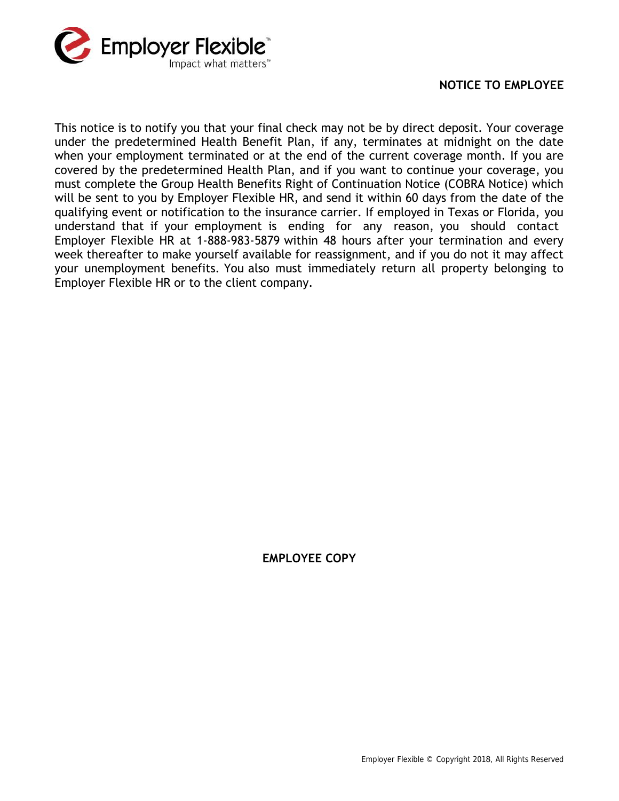

## **NOTICE TO EMPLOYEE**

This notice is to notify you that your final check may not be by direct deposit. Your coverage under the predetermined Health Benefit Plan, if any, terminates at midnight on the date when your employment terminated or at the end of the current coverage month. If you are covered by the predetermined Health Plan, and if you want to continue your coverage, you must complete the Group Health Benefits Right of Continuation Notice (COBRA Notice) which will be sent to you by Employer Flexible HR, and send it within 60 days from the date of the qualifying event or notification to the insurance carrier. If employed in Texas or Florida, you when your employment terminated or at the end of the current coverage month. If you are covered by the predetermined Health Plan, and if you want to continue your coverage, you must complete the Group Health Benefits Right covered by the predetermined Health Plan, and if you want to continue your coverage, you<br>must complete the Group Health Benefits Right of Continuation Notice (COBRA Notice) which<br>will be sent to you by Employer Flexible HR week thereafter to make yourself available for reassignment, and if you do not it may affect will be sent to you by Employer Flexible HR, and send it within 60 days from the date of the qualifying event or notification to the insurance carrier. If employed in Texas or Florida, you understand that if your employmen Employer Flexible HR or to the client company.

## **EMPLOYEE COPY**